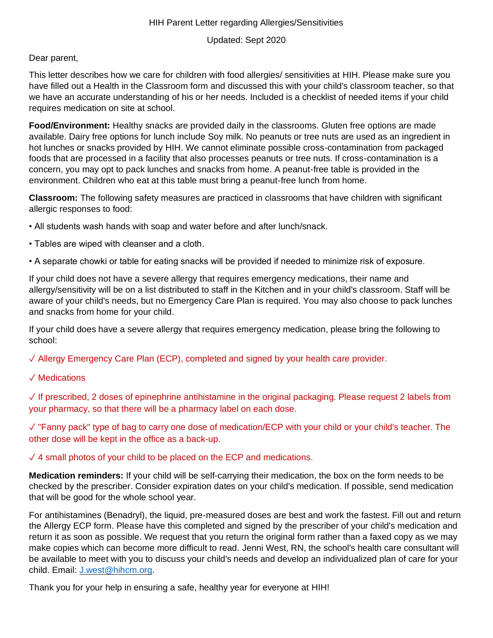## HIH Parent Letter regarding Allergies/Sensitivities

Updated: Sept 2020

## Dear parent,

This letter describes how we care for children with food allergies/ sensitivities at HIH. Please make sure you have filled out a Health in the Classroom form and discussed this with your child's classroom teacher, so that we have an accurate understanding of his or her needs. Included is a checklist of needed items if your child requires medication on site at school.

**Food/Environment:** Healthy snacks are provided daily in the classrooms. Gluten free options are made available. Dairy free options for lunch include Soy milk. No peanuts or tree nuts are used as an ingredient in hot lunches or snacks provided by HIH. We cannot eliminate possible cross-contamination from packaged foods that are processed in a facility that also processes peanuts or tree nuts. If cross-contamination is a concern, you may opt to pack lunches and snacks from home. A peanut-free table is provided in the environment. Children who eat at this table must bring a peanut-free lunch from home.

**Classroom:** The following safety measures are practiced in classrooms that have children with significant allergic responses to food:

- All students wash hands with soap and water before and after lunch/snack.
- Tables are wiped with cleanser and a cloth.
- A separate chowki or table for eating snacks will be provided if needed to minimize risk of exposure.

If your child does not have a severe allergy that requires emergency medications, their name and allergy/sensitivity will be on a list distributed to staff in the Kitchen and in your child's classroom. Staff will be aware of your child's needs, but no Emergency Care Plan is required. You may also choose to pack lunches and snacks from home for your child.

If your child does have a severe allergy that requires emergency medication, please bring the following to school:

✓ Allergy Emergency Care Plan (ECP), completed and signed by your health care provider.

✓ Medications

✓ If prescribed, 2 doses of epinephrine antihistamine in the original packaging. Please request 2 labels from your pharmacy, so that there will be a pharmacy label on each dose.

✓ "Fanny pack" type of bag to carry one dose of medication/ECP with your child or your child's teacher. The other dose will be kept in the office as a back-up.

 $\sqrt{4}$  small photos of your child to be placed on the ECP and medications.

**Medication reminders:** If your child will be self-carrying their medication, the box on the form needs to be checked by the prescriber. Consider expiration dates on your child's medication. If possible, send medication that will be good for the whole school year.

For antihistamines (Benadryl), the liquid, pre-measured doses are best and work the fastest. Fill out and return the Allergy ECP form. Please have this completed and signed by the prescriber of your child's medication and return it as soon as possible. We request that you return the original form rather than a faxed copy as we may make copies which can become more difficult to read. Jenni West, RN, the school's health care consultant will be available to meet with you to discuss your child's needs and develop an individualized plan of care for your child. Email: [J.west@hihcm.org.](mailto:J.west@hihcm.org)

Thank you for your help in ensuring a safe, healthy year for everyone at HIH!